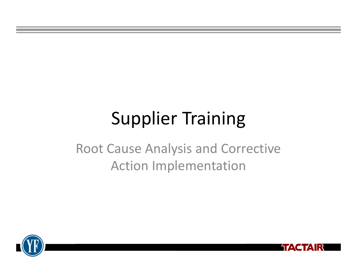## Supplier Training

Root Cause Analysis and Corrective Action Implementation



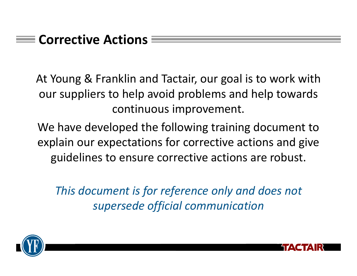#### **Corrective Actions**

At Young & Franklin and Tactair, our goal is to work with our suppliers to help avoid problems and help towards continuous improvement.

We have developed the following training document to explain our expectations for corrective actions and give guidelines to ensure corrective actions are robust.

*This document is for reference only and does not supersede official communication*



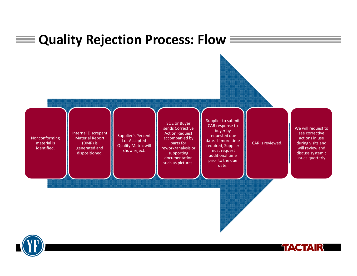



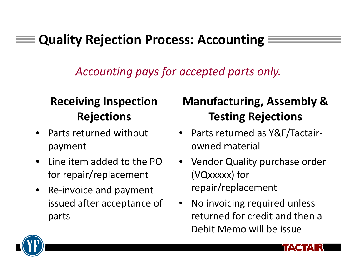### **Quality Rejection Process: Accounting**

*Accounting pays for accepted parts only.*

### **Receiving Inspection Rejections**

- •• Parts returned without payment
- $\bullet$ • Line item added to the PO for repair/replacement
- $\bullet$ ● Re-invoice and payment issued after acceptance of parts

### **Manufacturing, Assembly & Testing Rejections**

- Parts returned as Y&F/Tactair‐ owned material
- Vendor Quality purchase order (VQxxxxx) for repair/replacement
- • No invoicing required unless returned for credit and then <sup>a</sup> Debit Memo will be issue

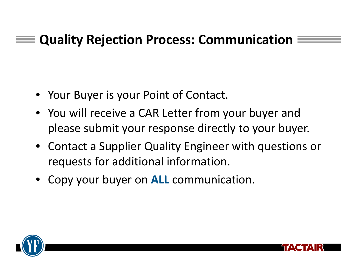### **Quality Rejection Process: Communication**

- Your Buyer is your Point of Contact.
- You will receive <sup>a</sup> CAR Letter from your buyer and please submit your response directly to your buyer.
- Contact a Supplier Quality Engineer with questions or requests for additional information.
- Copy your buyer on **ALL** communication.



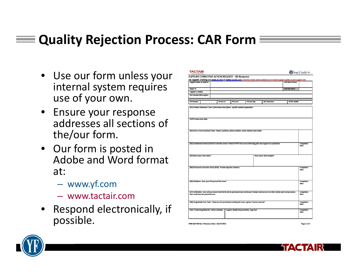### **Quality Rejection Process: CAR Form**

- Use our form unless your internal system requires use of your own.
- Ensure your response addresses all sections of the/our form.
- Our form is posted in Adobe and Word format at:
	- www.yf.com
	- www.tactair.com
- • Respond electronically, if possible.

|                                                                                                                                                       |            |           |              | For Supplier Training see www.yf.com or www.tactair.com Corrective Actions will be validated by YF/Tactair Supplier Quality on next Supplier visit  |                           |                                   |
|-------------------------------------------------------------------------------------------------------------------------------------------------------|------------|-----------|--------------|-----------------------------------------------------------------------------------------------------------------------------------------------------|---------------------------|-----------------------------------|
| <b>Supplier Name &amp; Address:</b>                                                                                                                   |            |           |              |                                                                                                                                                     | <b>CAR Date of Issue:</b> |                                   |
| <b>Reply To:</b>                                                                                                                                      |            |           |              |                                                                                                                                                     | <b>CAR DUE DATE:</b>      |                                   |
| <b>Supplier e-mail(s):</b>                                                                                                                            |            |           |              |                                                                                                                                                     |                           |                                   |
| <b>Part Number/Description:</b>                                                                                                                       |            |           |              |                                                                                                                                                     |                           |                                   |
| PO Number:                                                                                                                                            | PO Line #: | PO Lot #: | PO Line Qty: | QTY Defective:                                                                                                                                      | YF/TFC QAR#:              |                                   |
|                                                                                                                                                       |            |           |              |                                                                                                                                                     |                           |                                   |
| YF/TFC Notes from QAR:                                                                                                                                |            |           |              |                                                                                                                                                     |                           |                                   |
| (D2) Form a Cross Functional Team: Names, positions, phone numbers, email, indicate team leader                                                       |            |           |              | (D3) Containment Actions/Interim Corrective Action: Protect VF/TFC from non-conforming parts and support our production                             |                           | Completion                        |
|                                                                                                                                                       |            |           |              |                                                                                                                                                     |                           | Date:                             |
|                                                                                                                                                       |            |           |              | <b>Root Cause: How escaped?</b>                                                                                                                     |                           |                                   |
|                                                                                                                                                       |            |           |              |                                                                                                                                                     |                           | <b>Completion</b><br>Date:        |
| (D4) Root Cause: Why made?<br>(D5) Permanent Corrective Action (PCA): Provide objective evidence<br>(D6) Validation: Does your PCA prevent the issue? |            |           |              |                                                                                                                                                     |                           | <b>Completion</b><br>Date:        |
| that could have this potential issue                                                                                                                  |            |           |              | (D7) Verification: How will you ensure that this fix will be permanent and continuous? Include read across to all other similar parts and processes |                           | <b>Completion</b><br>Date:        |
| (D8) Congratulate Your Team: Thank you for proactively resolving this issue, capture "Lessons Learned"                                                |            |           |              |                                                                                                                                                     |                           | <b>Completion</b><br><b>Date:</b> |



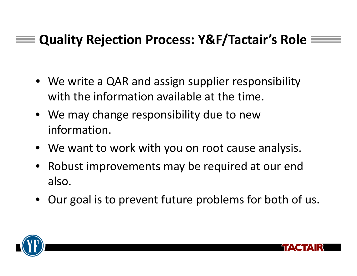### **Quality Rejection Process: Y&F/Tactair's Role**

- We write <sup>a</sup> QAR and assign supplier responsibility with the information available at the time.
- We may change responsibility due to new information.
- We want to work with you on root cause analysis.
- Robust improvements may be required at our end also.
- Our goal is to prevent future problems for both of us.



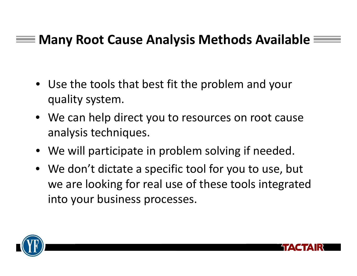### **Many Root Cause Analysis Methods Available**

- Use the tools that best fit the problem and your quality system.
- We can help direct you to resources on root cause analysis techniques.
- We will participate in problem solving if needed.
- We don't dictate <sup>a</sup> specific tool for you to use, but we are looking for real use of these tools integrated into your business processes.



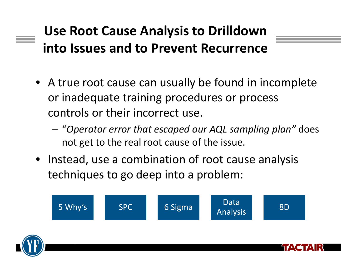### **Use Root Cause Analysis to Drilldown into Issues and to Prevent Recurrence**

- A true root cause can usually be found in incomplete or inadequate training procedures or process controls or their incorrect use.
	- "*Operator error that escaped our AQL sampling plan"* does not get to the real root cause of the issue.
- Instead, use <sup>a</sup> combination of root cause analysis techniques to go deep into <sup>a</sup> problem:



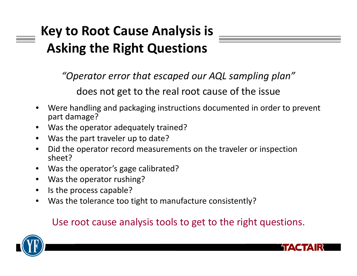## **Key to Root Cause Analysis is Asking the Right Questions**

*"Operator error that escaped our AQL sampling plan"*

does not get to the real root cause of the issue

- • Were handling and packaging instructions documented in order to prevent part damage?
- •Was the operator adequately trained?
- $\bullet$ Was the part traveler up to date?
- • Did the operator record measurements on the traveler or inspection sheet?
- •Was the operator's gage calibrated?
- •Was the operator rushing?
- $\bullet$ • Is the process capable?
- •Was the tolerance too tight to manufacture consistently?

#### Use root cause analysis tools to get to the right questions.



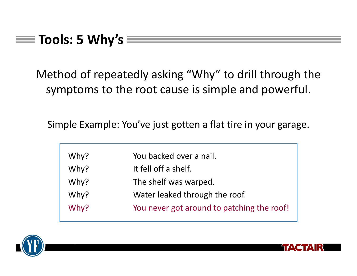Method of repeatedly asking "Why" to drill through the symptoms to the root cause is simple and powerful.

Simple Example: You've just gotten <sup>a</sup> flat tire in your garage.

| Why? | You backed over a nail.                    |  |
|------|--------------------------------------------|--|
| Why? | It fell off a shelf.                       |  |
| Why? | The shelf was warped.                      |  |
| Why? | Water leaked through the roof.             |  |
| Why? | You never got around to patching the roof! |  |



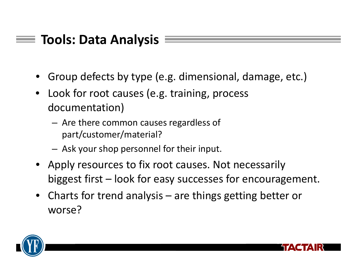### **Tools: Data Analysis**

- •Group defects by type (e.g. dimensional, damage, etc.)
- • Look for root causes (e.g. training, process documentation)
	- – Are there common causes regardless of part/customer/material?
	- – $-$  Ask your shop personnel for their input.
- Apply resources to fix root causes. Not necessarily biggest first – look for easy successes for encouragement.
- • Charts for trend analysis – are things getting better or worse?



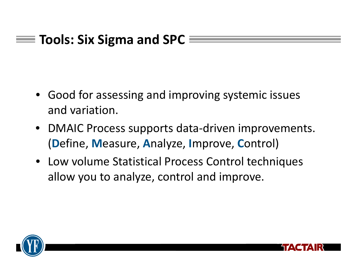### **Tools: Six Sigma and SPC**

- Good for assessing and improving systemic issues and variation.
- DMAIC Process supports data‐driven improvements. (**D**efine, **M**easure, **A**nalyze, **I**mprove, **C**ontrol)
- Low volume Statistical Process Control techniques allow you to analyze, control and improve.



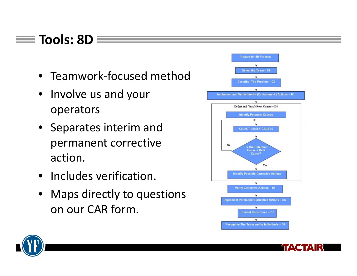### **Tools: 8D**

- Teamwork‐focused method
- Involve us and your operators
- Separates interim and permanent corrective action.
- Includes verification.
- Maps directly to questions on our CAR form.





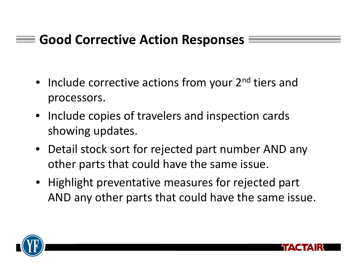### **Good Corrective Action Responses**

- Include corrective actions from your 2<sup>nd</sup> tiers and processors.
- Include copies of travelers and inspection cards showing updates.
- Detail stock sort for rejected part number AND any other parts that could have the same issue.
- Highlight preventative measures for rejected part AND any other parts that could have the same issue.



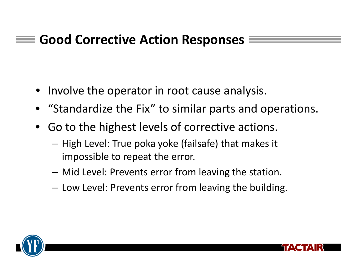### **Good Corrective Action Responses**

- Involve the operator in root cause analysis.
- "Standardize the Fix" to similar parts and operations.
- Go to the highest levels of corrective actions.
	- $-$  High Level: True poka yoke (failsafe) that makes it impossible to repeat the error.
	- Mid Level: Prevents error from leaving the station.
	- Low Level: Prevents error from leaving the building.



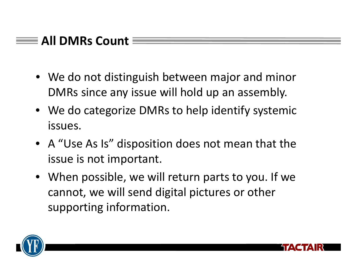### **All DMRs Count**

- We do not distinguish between major and minor DMRs since any issue will hold up an assembly.
- We do categorize DMRs to help identify systemic issues.
- A "Use As Is" disposition does not mean that the issue is not important.
- When possible, we will return parts to you. If we cannot, we will send digital pictures or other supporting information.



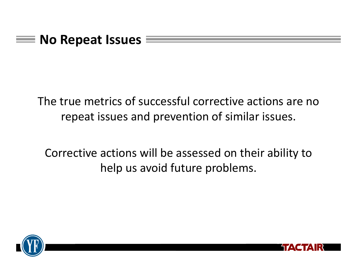

The true metrics of successful corrective actions are no repeat issues and prevention of similar issues.

Corrective actions will be assessed on their ability to help us avoid future problems.